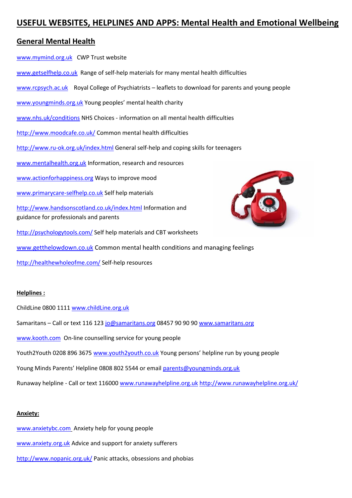# **USEFUL WEBSITES, HELPLINES AND APPS: Mental Health and Emotional Wellbeing**

# **General Mental Health**

[www.mymind.org.uk](http://www.mymind.org.uk/) CWP Trust website

- [www.getselfhelp.co.uk](http://www.getselfhelp.co.uk/) Range of self-help materials for many mental health difficulties
- [www.rcpsych.ac.uk](http://www.rcpsych.ac.uk/) Royal College of Psychiatrists leaflets to download for parents and young people
- [www.youngminds.org.uk](http://www.youngminds.org.uk/) Young peoples' mental health charity
- [www.nhs.uk/conditions](http://www.nhs.uk/conditions) NHS Choices information on all mental health difficulties
- <http://www.moodcafe.co.uk/> Common mental health difficulties
- <http://www.ru-ok.org.uk/index.html> General self-help and coping skills for teenagers
- [www.mentalhealth.org.uk](http://www.mentalhealth.org.uk/) Information, research and resources
- [www.actionforhappiness.org](http://www.actionforhappiness.org/) Ways to improve mood
- [www.primarycare-selfhelp.co.uk](http://www.primarycare-selfhelp.co.uk/) Self help materials

<http://www.handsonscotland.co.uk/index.html> Information and guidance for professionals and parents

- <http://psychologytools.com/> Self help materials and CBT worksheets
- [www.getthelowdown.co.uk](http://www.getthelowdown.co.uk/) Common mental health conditions and managing feelings
- <http://healthewholeofme.com/> Self-help resources

# **Helplines :**

- ChildLine 0800 1111 [www.childLine.org.uk](http://www.childline.org.uk/)
- Samaritans Call or text 116 123 [jo@samaritans.org](mailto:jo@samaritans.org) 08457 90 90 9[0 www.samaritans.org](http://www.samaritans.org/)
- [www.kooth.com](http://www.kooth.com/) On-line counselling service for young people
- Youth2Youth 0208 896 3675 [www.youth2youth.co.uk](http://www.youth2youth.co.uk/) Young persons' helpline run by young people
- Young Minds Parents' Helpline 0808 802 5544 or email [parents@youngminds.org.uk](mailto:parents@youngminds.org.uk)

Runaway helpline - Call or text 116000 [www.runawayhelpline.org.uk](http://www.runawayhelpline.org.uk/) <http://www.runawayhelpline.org.uk/>

# **Anxiety:**

[www.anxietybc.com](http://www.anxietybc.com/) Anxiety help for young people [www.anxiety.org.uk](http://www.anxiety.org.uk/) Advice and support for anxiety sufferers <http://www.nopanic.org.uk/> Panic attacks, obsessions and phobias

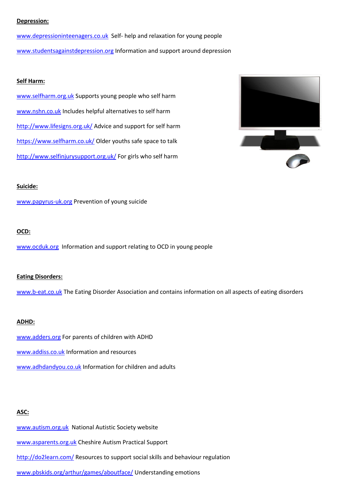#### **Depression:**

[www.depressioninteenagers.co.uk](http://www.depressioninteenagers.co.uk/) Self- help and relaxation for young people [www.studentsagainstdepression.org](http://www.studentsagainstdepression.org/) Information and support around depression

### **Self Harm:**

[www.selfharm.org.uk](http://www.selfharm.org.uk/) Supports young people who self harm [www.nshn.co.uk](http://www.nshn.co.uk/) Includes helpful alternatives to self harm <http://www.lifesigns.org.uk/> Advice and support for self harm <https://www.selfharm.co.uk/> Older youths safe space to talk <http://www.selfinjurysupport.org.uk/> For girls who self harm



#### **Suicide:**

[www.papyrus-uk.org](http://www.papyrus-uk.org/) Prevention of young suicide

# **OCD:**

[www.ocduk.org](http://www.ocduk.org/) Information and support relating to OCD in young people

#### **Eating Disorders:**

[www.b-eat.co.uk](http://www.b-eat.co.uk/) The Eating Disorder Association and contains information on all aspects of eating disorders

#### **ADHD:**

[www.adders.org](http://www.adders.org/) For parents of children with ADHD

[www.addiss.co.uk](http://www.addiss.co.uk/) Information and resources

[www.adhdandyou.co.uk](http://www.adhdandyou.co.uk/) Information for children and adults

# **ASC:**

[www.autism.org.uk](http://www.autism.org.uk/) National Autistic Society website

[www.asparents.org.uk](http://www.asparents.org.uk/) Cheshire Autism Practical Support

<http://do2learn.com/> Resources to support social skills and behaviour regulation

[www.pbskids.org/arthur/games/aboutface/](http://www.pbskids.org/arthur/games/aboutface/) Understanding emotions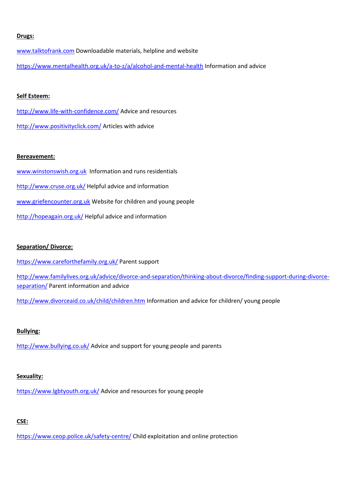#### **Drugs:**

[www.talktofrank.com](http://www.talktofrank.com/) Downloadable materials, helpline and website <https://www.mentalhealth.org.uk/a-to-z/a/alcohol-and-mental-health> Information and advice

### **Self Esteem:**

<http://www.life-with-confidence.com/> Advice and resources <http://www.positivityclick.com/> Articles with advice

#### **Bereavement:**

[www.winstonswish.org.uk](http://www.winstonswish.org.uk/) Information and runs residentials <http://www.cruse.org.uk/> Helpful advice and information [www.griefencounter.org.uk](http://www.griefencounter.org.uk/) Website for children and young people <http://hopeagain.org.uk/> Helpful advice and information

# **Separation/ Divorce:**

<https://www.careforthefamily.org.uk/> Parent support

[http://www.familylives.org.uk/advice/divorce-and-separation/thinking-about-divorce/finding-support-during-divorce](http://www.familylives.org.uk/advice/divorce-and-separation/thinking-about-divorce/finding-support-during-divorce-separation/)[separation/](http://www.familylives.org.uk/advice/divorce-and-separation/thinking-about-divorce/finding-support-during-divorce-separation/) Parent information and advice

<http://www.divorceaid.co.uk/child/children.htm> Information and advice for children/ young people

# **Bullying:**

<http://www.bullying.co.uk/> Advice and support for young people and parents

# **Sexuality:**

<https://www.lgbtyouth.org.uk/> Advice and resources for young people

# **CSE:**

<https://www.ceop.police.uk/safety-centre/> Child exploitation and online protection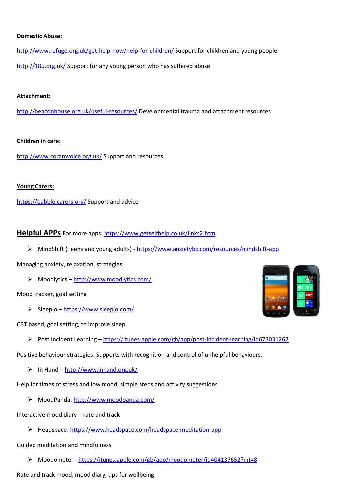# **Domestic Abuse:**

<http://www.refuge.org.uk/get-help-now/help-for-children/> Support for children and young people <http://18u.org.uk/> Support for any young person who has suffered abuse

### **Attachment:**

<http://beaconhouse.org.uk/useful-resources/> Developmental trauma and attachment resources

# **Children in care:**

<http://www.coramvoice.org.uk/> Support and resources

# **Young Carers:**

<https://babble.carers.org/> Support and advice

# **Helpful APPs** For more apps:<https://www.getselfhelp.co.uk/links2.htm>

MindShift (Teens and young adults) - <https://www.anxietybc.com/resources/mindshift-app>

Managing anxiety, relaxation, strategies

Moodlytics – <http://www.moodlytics.com/>

# Mood tracker, goal setting

 $\triangleright$  Sleepio – <https://www.sleepio.com/>

CBT based, goal setting, to improve sleep.

Post Incident Learning – <https://itunes.apple.com/gb/app/post-incident-learning/id673031262>

Positive behaviour strategies. Supports with recognition and control of unhelpful behaviours.

 $\triangleright$  In Hand – <http://www.inhand.org.uk/>

Help for times of stress and low mood, simple steps and activity suggestions

MoodPanda:<http://www.moodpanda.com/>

Interactive mood diary – rate and track

Headspace[: https://www.headspace.com/headspace-meditation-app](https://www.headspace.com/headspace-meditation-app)

# Guided meditation and mindfulness

Moodometer - <https://itunes.apple.com/gb/app/moodometer/id404137652?mt=8>